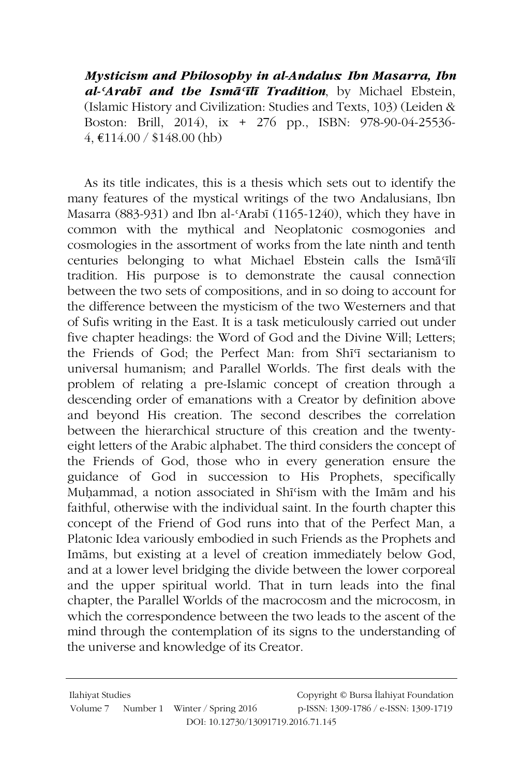Mysticism and Philosophy in al-Andalus Ibn Masarra, Ibn al-'Arabī and the Ismā'īlī Tradition, by Michael Ebstein, (Islamic History and Civilization: Studies and Texts, 103) (Leiden & Boston: Brill, 2014), ix + 276 pp., ISBN: 978-90-04-25536- $4, €114.00 / $148.00$  (hb)

As its title indicates, this is a thesis which sets out to identify the many features of the mystical writings of the two Andalusians, Ibn Masarra (883-931) and Ibn al-'Arabī (1165-1240), which they have in common with the mythical and Neoplatonic cosmogonies and cosmologies in the assortment of works from the late ninth and tenth centuries belonging to what Michael Ebstein calls the Isma<sup>c</sup>ili tradition. His purpose is to demonstrate the causal connection between the two sets of compositions, and in so doing to account for the difference between the mysticism of the two Westerners and that of Sufis writing in the East. It is a task meticulously carried out under five chapter headings: the Word of God and the Divine Will; Letters: the Friends of God: the Perfect Man: from Shi<sup>q</sup> sectarianism to universal humanism; and Parallel Worlds. The first deals with the problem of relating a pre-Islamic concept of creation through a descending order of emanations with a Creator by definition above and beyond His creation. The second describes the correlation between the hierarchical structure of this creation and the twentyeight letters of the Arabic alphabet. The third considers the concept of the Friends of God, those who in every generation ensure the guidance of God in succession to His Prophets, specifically Muhammad, a notion associated in Shīsism with the Imam and his faithful, otherwise with the individual saint. In the fourth chapter this concept of the Friend of God runs into that of the Perfect Man, a Platonic Idea variously embodied in such Friends as the Prophets and Imams, but existing at a level of creation immediately below God, and at a lower level bridging the divide between the lower corporeal and the upper spiritual world. That in turn leads into the final chapter, the Parallel Worlds of the macrocosm and the microcosm, in which the correspondence between the two leads to the ascent of the mind through the contemplation of its signs to the understanding of the universe and knowledge of its Creator.